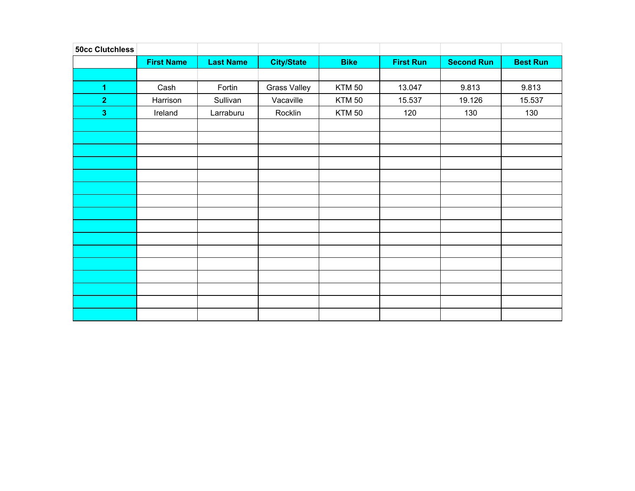| <b>50cc Clutchless</b>  |                   |                  |                     |               |                  |                   |                 |
|-------------------------|-------------------|------------------|---------------------|---------------|------------------|-------------------|-----------------|
|                         | <b>First Name</b> | <b>Last Name</b> | <b>City/State</b>   | <b>Bike</b>   | <b>First Run</b> | <b>Second Run</b> | <b>Best Run</b> |
|                         |                   |                  |                     |               |                  |                   |                 |
| $\blacktriangleleft$    | Cash              | Fortin           | <b>Grass Valley</b> | <b>KTM 50</b> | 13.047           | 9.813             | 9.813           |
| $\overline{2}$          | Harrison          | Sullivan         | Vacaville           | <b>KTM 50</b> | 15.537           | 19.126            | 15.537          |
| $\overline{\mathbf{3}}$ | Ireland           | Larraburu        | Rocklin             | <b>KTM 50</b> | 120              | 130               | 130             |
|                         |                   |                  |                     |               |                  |                   |                 |
|                         |                   |                  |                     |               |                  |                   |                 |
|                         |                   |                  |                     |               |                  |                   |                 |
|                         |                   |                  |                     |               |                  |                   |                 |
|                         |                   |                  |                     |               |                  |                   |                 |
|                         |                   |                  |                     |               |                  |                   |                 |
|                         |                   |                  |                     |               |                  |                   |                 |
|                         |                   |                  |                     |               |                  |                   |                 |
|                         |                   |                  |                     |               |                  |                   |                 |
|                         |                   |                  |                     |               |                  |                   |                 |
|                         |                   |                  |                     |               |                  |                   |                 |
|                         |                   |                  |                     |               |                  |                   |                 |
|                         |                   |                  |                     |               |                  |                   |                 |
|                         |                   |                  |                     |               |                  |                   |                 |
|                         |                   |                  |                     |               |                  |                   |                 |
|                         |                   |                  |                     |               |                  |                   |                 |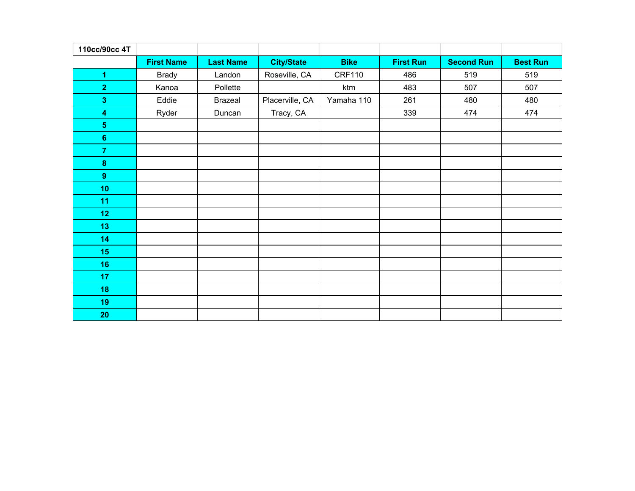| 110cc/90cc 4T           |                   |                  |                   |               |                  |                   |                 |
|-------------------------|-------------------|------------------|-------------------|---------------|------------------|-------------------|-----------------|
|                         | <b>First Name</b> | <b>Last Name</b> | <b>City/State</b> | <b>Bike</b>   | <b>First Run</b> | <b>Second Run</b> | <b>Best Run</b> |
| $\overline{1}$          | <b>Brady</b>      | Landon           | Roseville, CA     | <b>CRF110</b> | 486              | 519               | 519             |
| $\overline{2}$          | Kanoa             | Pollette         |                   | ktm           | 483              | 507               | 507             |
| $\overline{\mathbf{3}}$ | Eddie             | <b>Brazeal</b>   | Placerville, CA   | Yamaha 110    | 261              | 480               | 480             |
| $\overline{\mathbf{4}}$ | Ryder             | Duncan           | Tracy, CA         |               | 339              | 474               | 474             |
| 5 <sub>5</sub>          |                   |                  |                   |               |                  |                   |                 |
| $\boldsymbol{6}$        |                   |                  |                   |               |                  |                   |                 |
| $\overline{7}$          |                   |                  |                   |               |                  |                   |                 |
| $\boldsymbol{8}$        |                   |                  |                   |               |                  |                   |                 |
| 9                       |                   |                  |                   |               |                  |                   |                 |
| 10                      |                   |                  |                   |               |                  |                   |                 |
| 11                      |                   |                  |                   |               |                  |                   |                 |
| 12                      |                   |                  |                   |               |                  |                   |                 |
| 13                      |                   |                  |                   |               |                  |                   |                 |
| 14                      |                   |                  |                   |               |                  |                   |                 |
| 15                      |                   |                  |                   |               |                  |                   |                 |
| 16                      |                   |                  |                   |               |                  |                   |                 |
| 17 <sub>2</sub>         |                   |                  |                   |               |                  |                   |                 |
| 18                      |                   |                  |                   |               |                  |                   |                 |
| 19                      |                   |                  |                   |               |                  |                   |                 |
| 20                      |                   |                  |                   |               |                  |                   |                 |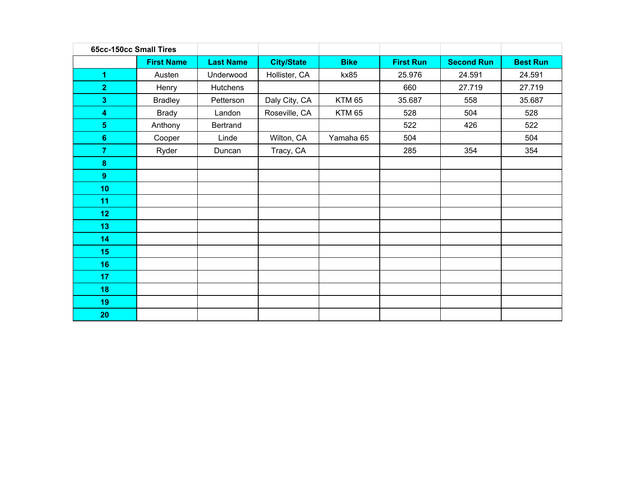| 65cc-150cc Small Tires  |                   |                  |                   |             |                  |                   |                 |
|-------------------------|-------------------|------------------|-------------------|-------------|------------------|-------------------|-----------------|
|                         | <b>First Name</b> | <b>Last Name</b> | <b>City/State</b> | <b>Bike</b> | <b>First Run</b> | <b>Second Run</b> | <b>Best Run</b> |
| $\overline{1}$          | Austen            | Underwood        | Hollister, CA     | kx85        | 25.976           | 24.591            | 24.591          |
| $\overline{2}$          | Henry             | Hutchens         |                   |             | 660              | 27.719            | 27.719          |
| 3 <sup>2</sup>          | <b>Bradley</b>    | Petterson        | Daly City, CA     | KTM 65      | 35.687           | 558               | 35.687          |
| $\overline{\mathbf{4}}$ | <b>Brady</b>      | Landon           | Roseville, CA     | KTM 65      | 528              | 504               | 528             |
| 5 <sub>5</sub>          | Anthony           | Bertrand         |                   |             | 522              | 426               | 522             |
| $6\phantom{1}$          | Cooper            | Linde            | Wilton, CA        | Yamaha 65   | 504              |                   | 504             |
| 7 <sup>1</sup>          | Ryder             | Duncan           | Tracy, CA         |             | 285              | 354               | 354             |
| $\bf{8}$                |                   |                  |                   |             |                  |                   |                 |
| 9 <sup>°</sup>          |                   |                  |                   |             |                  |                   |                 |
| 10 <sub>1</sub>         |                   |                  |                   |             |                  |                   |                 |
| 11                      |                   |                  |                   |             |                  |                   |                 |
| 12                      |                   |                  |                   |             |                  |                   |                 |
| 13 <sub>1</sub>         |                   |                  |                   |             |                  |                   |                 |
| 14                      |                   |                  |                   |             |                  |                   |                 |
| 15                      |                   |                  |                   |             |                  |                   |                 |
| 16                      |                   |                  |                   |             |                  |                   |                 |
| 17 <sub>2</sub>         |                   |                  |                   |             |                  |                   |                 |
| 18                      |                   |                  |                   |             |                  |                   |                 |
| 19                      |                   |                  |                   |             |                  |                   |                 |
| 20                      |                   |                  |                   |             |                  |                   |                 |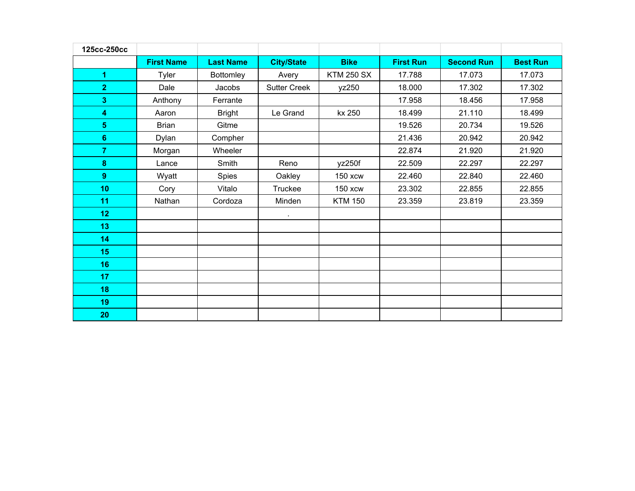| 125cc-250cc             |                   |                  |                     |                   |                  |                   |                 |
|-------------------------|-------------------|------------------|---------------------|-------------------|------------------|-------------------|-----------------|
|                         | <b>First Name</b> | <b>Last Name</b> | <b>City/State</b>   | <b>Bike</b>       | <b>First Run</b> | <b>Second Run</b> | <b>Best Run</b> |
| $\blacktriangleleft$    | Tyler             | <b>Bottomley</b> | Avery               | <b>KTM 250 SX</b> | 17.788           | 17.073            | 17.073          |
| $\overline{2}$          | Dale              | Jacobs           | <b>Sutter Creek</b> | yz250             | 18.000           | 17.302            | 17.302          |
| 3                       | Anthony           | Ferrante         |                     |                   | 17.958           | 18.456            | 17.958          |
| $\overline{\mathbf{4}}$ | Aaron             | <b>Bright</b>    | Le Grand            | kx 250            | 18.499           | 21.110            | 18.499          |
| 5 <sup>5</sup>          | <b>Brian</b>      | Gitme            |                     |                   | 19.526           | 20.734            | 19.526          |
| $\bf 6$                 | Dylan             | Compher          |                     |                   | 21.436           | 20.942            | 20.942          |
| $\overline{7}$          | Morgan            | Wheeler          |                     |                   | 22.874           | 21.920            | 21.920          |
| 8                       | Lance             | Smith            | Reno                | yz250f            | 22.509           | 22.297            | 22.297          |
| 9                       | Wyatt             | Spies            | Oakley              | <b>150 xcw</b>    | 22.460           | 22.840            | 22.460          |
| 10 <sub>1</sub>         | Cory              | Vitalo           | Truckee             | 150 xcw           | 23.302           | 22.855            | 22.855          |
| 11                      | Nathan            | Cordoza          | Minden              | <b>KTM 150</b>    | 23.359           | 23.819            | 23.359          |
| 12                      |                   |                  |                     |                   |                  |                   |                 |
| 13                      |                   |                  |                     |                   |                  |                   |                 |
| 14                      |                   |                  |                     |                   |                  |                   |                 |
| 15                      |                   |                  |                     |                   |                  |                   |                 |
| 16                      |                   |                  |                     |                   |                  |                   |                 |
| 17                      |                   |                  |                     |                   |                  |                   |                 |
| 18                      |                   |                  |                     |                   |                  |                   |                 |
| 19                      |                   |                  |                     |                   |                  |                   |                 |
| 20                      |                   |                  |                     |                   |                  |                   |                 |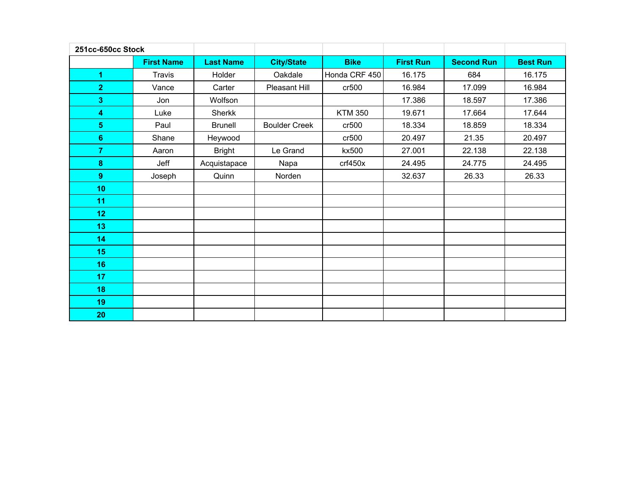| 251cc-650cc Stock       |                   |                  |                      |                |                  |                   |                 |
|-------------------------|-------------------|------------------|----------------------|----------------|------------------|-------------------|-----------------|
|                         | <b>First Name</b> | <b>Last Name</b> | <b>City/State</b>    | <b>Bike</b>    | <b>First Run</b> | <b>Second Run</b> | <b>Best Run</b> |
| 1                       | <b>Travis</b>     | Holder           | Oakdale              | Honda CRF 450  | 16.175           | 684               | 16.175          |
| $\overline{2}$          | Vance             | Carter           | Pleasant Hill        | cr500          | 16.984           | 17.099            | 16.984          |
| 3                       | Jon               | Wolfson          |                      |                | 17.386           | 18.597            | 17.386          |
| 4                       | Luke              | Sherkk           |                      | <b>KTM 350</b> | 19.671           | 17.664            | 17.644          |
| $\overline{\mathbf{5}}$ | Paul              | <b>Brunell</b>   | <b>Boulder Creek</b> | cr500          | 18.334           | 18.859            | 18.334          |
| $\bf 6$                 | Shane             | Heywood          |                      | cr500          | 20.497           | 21.35             | 20.497          |
| $\overline{7}$          | Aaron             | <b>Bright</b>    | Le Grand             | kx500          | 27.001           | 22.138            | 22.138          |
| $\bf8$                  | Jeff              | Acquistapace     | Napa                 | crf450x        | 24.495           | 24.775            | 24.495          |
| 9                       | Joseph            | Quinn            | Norden               |                | 32.637           | 26.33             | 26.33           |
| 10 <sub>1</sub>         |                   |                  |                      |                |                  |                   |                 |
| 11                      |                   |                  |                      |                |                  |                   |                 |
| 12                      |                   |                  |                      |                |                  |                   |                 |
| 13                      |                   |                  |                      |                |                  |                   |                 |
| 14                      |                   |                  |                      |                |                  |                   |                 |
| 15                      |                   |                  |                      |                |                  |                   |                 |
| 16                      |                   |                  |                      |                |                  |                   |                 |
| 17                      |                   |                  |                      |                |                  |                   |                 |
| 18                      |                   |                  |                      |                |                  |                   |                 |
| 19                      |                   |                  |                      |                |                  |                   |                 |
| 20                      |                   |                  |                      |                |                  |                   |                 |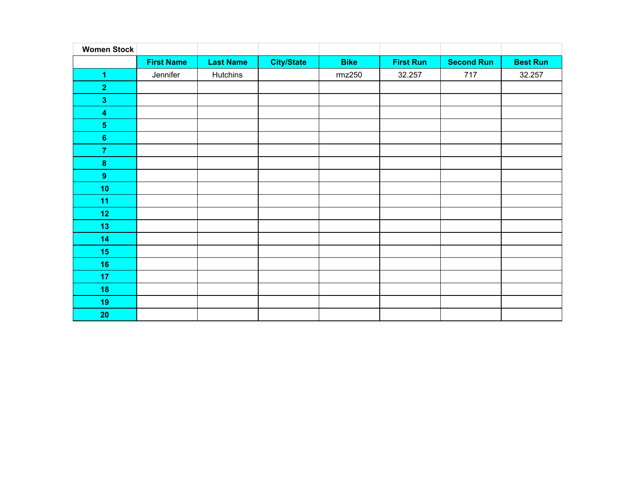| <b>Women Stock</b>      |                   |                  |                   |             |                  |                   |                 |
|-------------------------|-------------------|------------------|-------------------|-------------|------------------|-------------------|-----------------|
|                         | <b>First Name</b> | <b>Last Name</b> | <b>City/State</b> | <b>Bike</b> | <b>First Run</b> | <b>Second Run</b> | <b>Best Run</b> |
| $\overline{1}$          | Jennifer          | Hutchins         |                   | rmz250      | 32.257           | 717               | 32.257          |
| $\overline{2}$          |                   |                  |                   |             |                  |                   |                 |
| $\overline{\mathbf{3}}$ |                   |                  |                   |             |                  |                   |                 |
| $\overline{\mathbf{4}}$ |                   |                  |                   |             |                  |                   |                 |
| $\overline{\mathbf{5}}$ |                   |                  |                   |             |                  |                   |                 |
| $\boldsymbol{6}$        |                   |                  |                   |             |                  |                   |                 |
| $\overline{7}$          |                   |                  |                   |             |                  |                   |                 |
| $\pmb{8}$               |                   |                  |                   |             |                  |                   |                 |
| $9$                     |                   |                  |                   |             |                  |                   |                 |
| 10                      |                   |                  |                   |             |                  |                   |                 |
| 11                      |                   |                  |                   |             |                  |                   |                 |
| 12                      |                   |                  |                   |             |                  |                   |                 |
| 13                      |                   |                  |                   |             |                  |                   |                 |
| 14                      |                   |                  |                   |             |                  |                   |                 |
| 15                      |                   |                  |                   |             |                  |                   |                 |
| 16                      |                   |                  |                   |             |                  |                   |                 |
| 17                      |                   |                  |                   |             |                  |                   |                 |
| 18                      |                   |                  |                   |             |                  |                   |                 |
| 19                      |                   |                  |                   |             |                  |                   |                 |
| 20                      |                   |                  |                   |             |                  |                   |                 |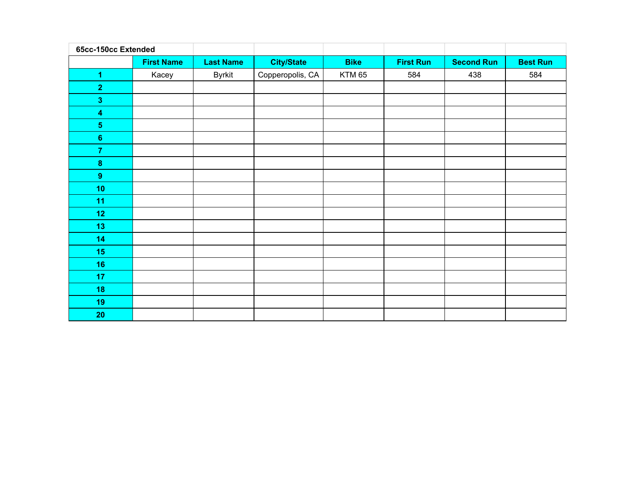| 65cc-150cc Extended     |                   |                  |                   |             |                  |                   |                 |
|-------------------------|-------------------|------------------|-------------------|-------------|------------------|-------------------|-----------------|
|                         | <b>First Name</b> | <b>Last Name</b> | <b>City/State</b> | <b>Bike</b> | <b>First Run</b> | <b>Second Run</b> | <b>Best Run</b> |
| $\overline{1}$          | Kacey             | <b>Byrkit</b>    | Copperopolis, CA  | KTM 65      | 584              | 438               | 584             |
| $\overline{2}$          |                   |                  |                   |             |                  |                   |                 |
| $\overline{\mathbf{3}}$ |                   |                  |                   |             |                  |                   |                 |
| $\overline{\mathbf{4}}$ |                   |                  |                   |             |                  |                   |                 |
| $\overline{\mathbf{5}}$ |                   |                  |                   |             |                  |                   |                 |
| $\bf 6$                 |                   |                  |                   |             |                  |                   |                 |
| $\overline{7}$          |                   |                  |                   |             |                  |                   |                 |
| $\pmb{8}$               |                   |                  |                   |             |                  |                   |                 |
| 9                       |                   |                  |                   |             |                  |                   |                 |
| 10                      |                   |                  |                   |             |                  |                   |                 |
| 11                      |                   |                  |                   |             |                  |                   |                 |
| 12                      |                   |                  |                   |             |                  |                   |                 |
| 13                      |                   |                  |                   |             |                  |                   |                 |
| 14                      |                   |                  |                   |             |                  |                   |                 |
| 15                      |                   |                  |                   |             |                  |                   |                 |
| 16                      |                   |                  |                   |             |                  |                   |                 |
| 17                      |                   |                  |                   |             |                  |                   |                 |
| 18                      |                   |                  |                   |             |                  |                   |                 |
| 19                      |                   |                  |                   |             |                  |                   |                 |
| 20                      |                   |                  |                   |             |                  |                   |                 |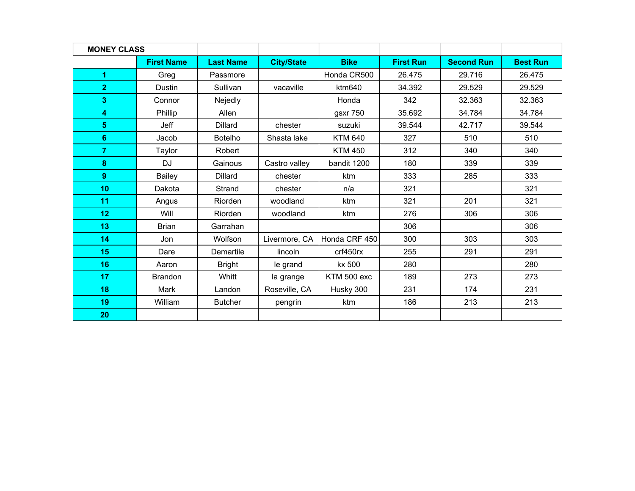| <b>MONEY CLASS</b>   |                   |                  |                   |                |                  |                   |                 |
|----------------------|-------------------|------------------|-------------------|----------------|------------------|-------------------|-----------------|
|                      | <b>First Name</b> | <b>Last Name</b> | <b>City/State</b> | <b>Bike</b>    | <b>First Run</b> | <b>Second Run</b> | <b>Best Run</b> |
| $\blacktriangleleft$ | Greg              | Passmore         |                   | Honda CR500    | 26.475           | 29.716            | 26.475          |
| $\overline{2}$       | Dustin            | Sullivan         | vacaville         | ktm640         | 34.392           | 29.529            | 29.529          |
| 3                    | Connor            | Nejedly          |                   | Honda          | 342              | 32.363            | 32.363          |
| 4                    | Phillip           | Allen            |                   | gsxr 750       | 35.692           | 34.784            | 34.784          |
| 5 <sup>5</sup>       | Jeff              | <b>Dillard</b>   | chester           | suzuki         | 39.544           | 42.717            | 39.544          |
| $6\phantom{a}$       | Jacob             | <b>Botelho</b>   | Shasta lake       | <b>KTM 640</b> | 327              | 510               | 510             |
| 7 <sup>1</sup>       | Taylor            | Robert           |                   | <b>KTM 450</b> | 312              | 340               | 340             |
| 8                    | <b>DJ</b>         | Gainous          | Castro valley     | bandit 1200    | 180              | 339               | 339             |
| 9                    | <b>Bailey</b>     | <b>Dillard</b>   | chester           | ktm            | 333              | 285               | 333             |
| 10                   | Dakota            | Strand           | chester           | n/a            | 321              |                   | 321             |
| 11                   | Angus             | Riorden          | woodland          | ktm            | 321              | 201               | 321             |
| 12                   | Will              | Riorden          | woodland          | ktm            | 276              | 306               | 306             |
| 13                   | <b>Brian</b>      | Garrahan         |                   |                | 306              |                   | 306             |
| 14                   | Jon               | Wolfson          | Livermore, CA     | Honda CRF 450  | 300              | 303               | 303             |
| 15                   | Dare              | Demartile        | lincoln           | crf450rx       | 255              | 291               | 291             |
| 16                   | Aaron             | <b>Bright</b>    | le grand          | kx 500         | 280              |                   | 280             |
| 17                   | <b>Brandon</b>    | Whitt            | la grange         | KTM 500 exc    | 189              | 273               | 273             |
| 18                   | Mark              | Landon           | Roseville, CA     | Husky 300      | 231              | 174               | 231             |
| 19                   | William           | <b>Butcher</b>   | pengrin           | ktm            | 186              | 213               | 213             |
| 20                   |                   |                  |                   |                |                  |                   |                 |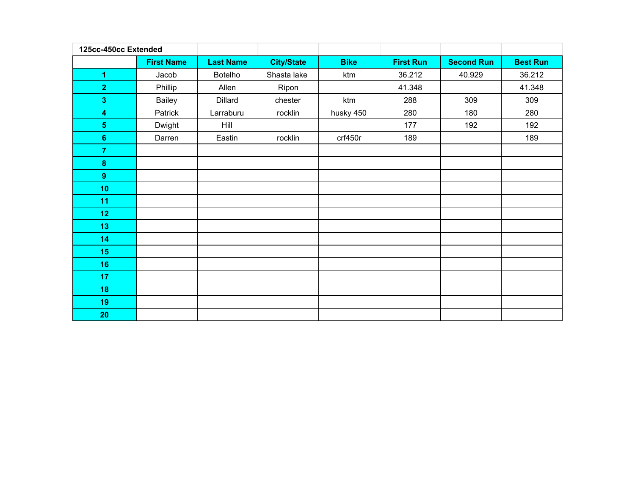| 125cc-450cc Extended    |                   |                  |                   |             |                  |                   |                 |
|-------------------------|-------------------|------------------|-------------------|-------------|------------------|-------------------|-----------------|
|                         | <b>First Name</b> | <b>Last Name</b> | <b>City/State</b> | <b>Bike</b> | <b>First Run</b> | <b>Second Run</b> | <b>Best Run</b> |
| $\blacktriangleleft$    | Jacob             | Botelho          | Shasta lake       | ktm         | 36.212           | 40.929            | 36.212          |
| $\overline{2}$          | Phillip           | Allen            | Ripon             |             | 41.348           |                   | 41.348          |
| $\overline{\mathbf{3}}$ | Bailey            | Dillard          | chester           | ktm         | 288              | 309               | 309             |
| $\overline{\mathbf{4}}$ | Patrick           | Larraburu        | rocklin           | husky 450   | 280              | 180               | 280             |
| 5 <sub>5</sub>          | Dwight            | <b>Hill</b>      |                   |             | 177              | 192               | 192             |
| $6\phantom{a}$          | Darren            | Eastin           | rocklin           | crf450r     | 189              |                   | 189             |
| $\overline{7}$          |                   |                  |                   |             |                  |                   |                 |
| $\boldsymbol{8}$        |                   |                  |                   |             |                  |                   |                 |
| $\boldsymbol{9}$        |                   |                  |                   |             |                  |                   |                 |
| 10                      |                   |                  |                   |             |                  |                   |                 |
| 11                      |                   |                  |                   |             |                  |                   |                 |
| 12                      |                   |                  |                   |             |                  |                   |                 |
| 13                      |                   |                  |                   |             |                  |                   |                 |
| 14                      |                   |                  |                   |             |                  |                   |                 |
| 15                      |                   |                  |                   |             |                  |                   |                 |
| 16                      |                   |                  |                   |             |                  |                   |                 |
| 17                      |                   |                  |                   |             |                  |                   |                 |
| 18                      |                   |                  |                   |             |                  |                   |                 |
| 19                      |                   |                  |                   |             |                  |                   |                 |
| 20                      |                   |                  |                   |             |                  |                   |                 |